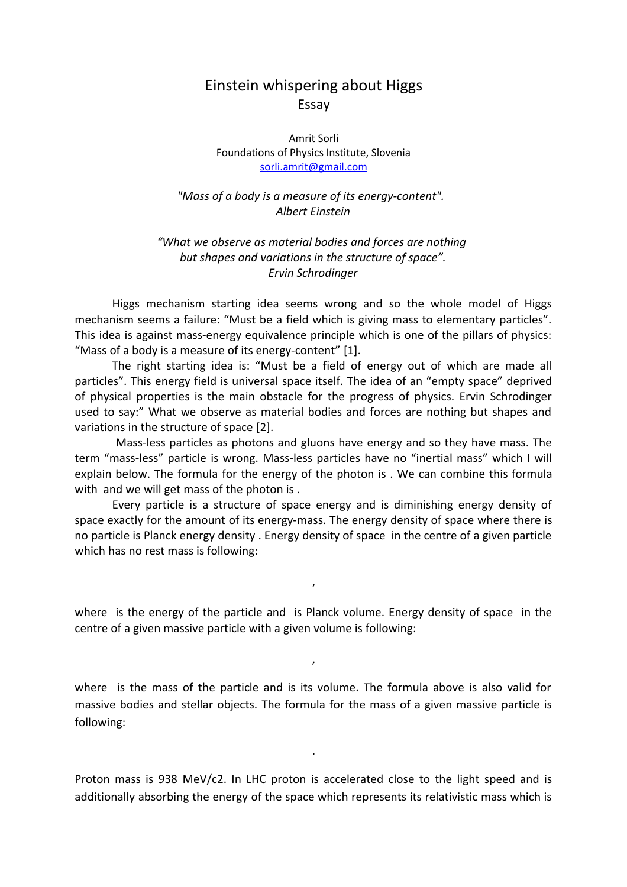## Einstein whispering about Higgs Essay

Amrit Sorli Foundations of Physics Institute, Slovenia [sorli.amrit@gmail.com](mailto:sorli.amrit@gmail.com)

*"Mass of a body is a measure of its energy-content". Albert Einstein*

*"What we observe as material bodies and forces are nothing but shapes and variations in the structure of space". Ervin Schrodinger*

Higgs mechanism starting idea seems wrong and so the whole model of Higgs mechanism seems a failure: "Must be a field which is giving mass to elementary particles". This idea is against mass-energy equivalence principle which is one of the pillars of physics: "Mass of a body is a measure of its energy-content" [1].

The right starting idea is: "Must be a field of energy out of which are made all particles". This energy field is universal space itself. The idea of an "empty space" deprived of physical properties is the main obstacle for the progress of physics. Ervin Schrodinger used to say:" What we observe as material bodies and forces are nothing but shapes and variations in the structure of space [2].

Mass-less particles as photons and gluons have energy and so they have mass. The term "mass-less" particle is wrong. Mass-less particles have no "inertial mass" which I will explain below. The formula for the energy of the photon is . We can combine this formula with and we will get mass of the photon is .

Every particle is a structure of space energy and is diminishing energy density of space exactly for the amount of its energy-mass. The energy density of space where there is no particle is Planck energy density . Energy density of space in the centre of a given particle which has no rest mass is following:

where is the energy of the particle and is Planck volume. Energy density of space in the centre of a given massive particle with a given volume is following:

,

,

where is the mass of the particle and is its volume. The formula above is also valid for massive bodies and stellar objects. The formula for the mass of a given massive particle is following:

Proton mass is 938 MeV/c2. In LHC proton is accelerated close to the light speed and is additionally absorbing the energy of the space which represents its relativistic mass which is

.